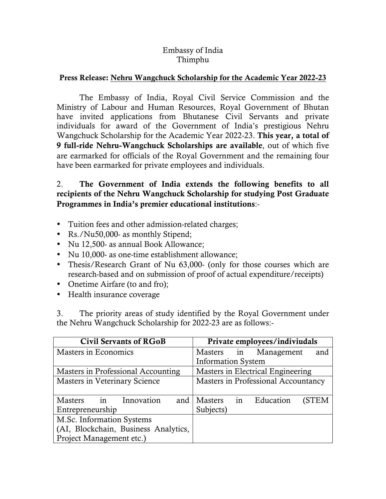## Embassy of India Thimphu

## Press Release: Nehru Wangchuck Scholarship for the Academic Year 2022-23

The Embassy of India, Royal Civil Service Commission and the Ministry of Labour and Human Resources, Royal Government of Bhutan have invited applications from Bhutanese Civil Servants and private individuals for award of the Government of India's prestigious Nehru Wangchuck Scholarship for the Academic Year 2022-23. This year, a total of 9 full-ride Nehru-Wangchuck Scholarships are available, out of which five are earmarked for officials of the Royal Government and the remaining four have been earmarked for private employees and individuals.

## 2. The Government of India extends the following benefits to all recipients of the Nehru Wangchuck Scholarship for studying Post Graduate Programmes in India's premier educational institutions:-

- Tuition fees and other admission-related charges;
- Rs./Nu50,000- as monthly Stipend;
- Nu 12,500- as annual Book Allowance;
- Nu 10,000- as one-time establishment allowance;
- Thesis/Research Grant of Nu 63,000- (only for those courses which are research-based and on submission of proof of actual expenditure/receipts)
- Onetime Airfare (to and fro);
- Health insurance coverage

3. The priority areas of study identified by the Royal Government under the Nehru Wangchuck Scholarship for 2022-23 are as follows:-

| <b>Civil Servants of RGoB</b>        | Private employees/indiviudals       |
|--------------------------------------|-------------------------------------|
| Masters in Economics                 | Masters in Management<br>and        |
|                                      | <b>Information System</b>           |
| Masters in Professional Accounting   | Masters in Electrical Engineering   |
| Masters in Veterinary Science        | Masters in Professional Accountancy |
|                                      |                                     |
| Masters in Innovation<br>and         | Masters in<br>Education<br>(STEM    |
| Entrepreneurship                     | Subjects)                           |
| M.Sc. Information Systems            |                                     |
| (AI, Blockchain, Business Analytics, |                                     |
| Project Management etc.)             |                                     |